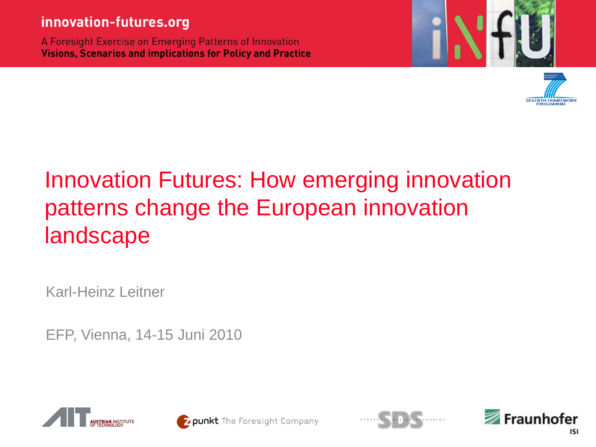#### innovation-futures.org

A Foresight Exercise on Emerging Patterns of Innovation **Visions, Scenarios and implications for Policy and Practice** 





# Innovation Futures: How emerging innovation patterns change the European innovation landscape

Karl-Heinz Leitner

EFP, Vienna, 14-15 Juni 2010







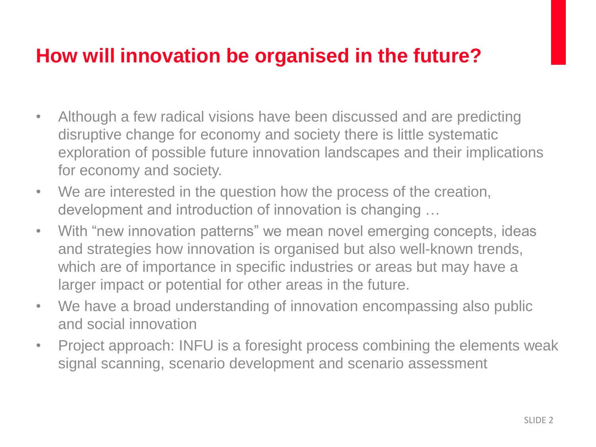## **How will innovation be organised in the future?**

- Although a few radical visions have been discussed and are predicting disruptive change for economy and society there is little systematic exploration of possible future innovation landscapes and their implications for economy and society.
- We are interested in the question how the process of the creation, development and introduction of innovation is changing …
- With "new innovation patterns" we mean novel emerging concepts, ideas and strategies how innovation is organised but also well-known trends, which are of importance in specific industries or areas but may have a larger impact or potential for other areas in the future.
- We have a broad understanding of innovation encompassing also public and social innovation
- Project approach: INFU is a foresight process combining the elements weak signal scanning, scenario development and scenario assessment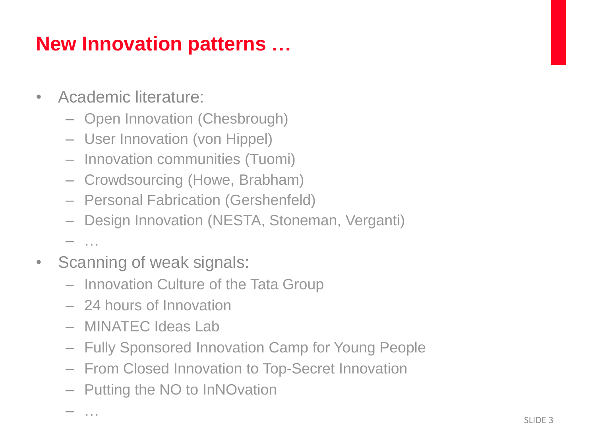# **New Innovation patterns …**

- Academic literature:
	- Open Innovation (Chesbrough)
	- User Innovation (von Hippel)
	- Innovation communities (Tuomi)
	- Crowdsourcing (Howe, Brabham)
	- Personal Fabrication (Gershenfeld)
	- Design Innovation (NESTA, Stoneman, Verganti)

 $\cdots$ 

- Scanning of weak signals:
	- Innovation Culture of the Tata Group
	- 24 hours of Innovation
	- MINATEC Ideas Lab
	- Fully Sponsored Innovation Camp for Young People
	- From Closed Innovation to Top-Secret Innovation
	- Putting the NO to InNOvation

– …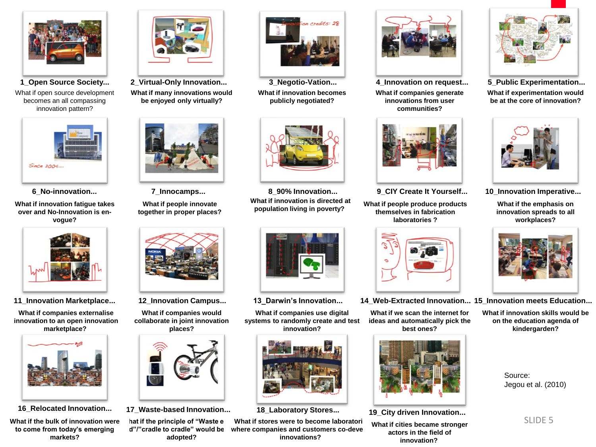

What if open source development becomes an all compassing



**What if innovation fatigue takes over and No-Innovation is envogue?** 



**What if companies externalise innovation to an open innovation marketplace?**



**What if the bulk of innovation were to come from today's emerging markets?**



**What if many innovations would be enjoyed only virtually? 1\_Open Source Society... 2\_Virtual-Only Innovation... 3\_Negotio-Vation... 4\_Innovation on request... 5\_Public Experimentation...**



**What if people innovate together in proper places?** 



**What if companies would collaborate in joint innovation places?**



**16\_Relocated Innovation... 17\_Waste-based Innovation... 18\_Laboratory Stores... 19\_City driven Innovation...**

hat if the principle of "Waste e  $d"$ "cradle to cradle" would be **adopted?** 



**What if innovation becomes publicly negotiated?**



**What if innovation is directed at population living in poverty? 6\_No-innovation... 7\_Innocamps... 8\_90% Innovation... 9\_CIY Create It Yourself... 10\_Innovation Imperative...**



**What if companies use digital systems to randomly create and test innovation?**



**What if stores were to become laboratori** where companies and customers co-deve **innovations?** 



**What if companies generate innovations from user communities?**



**What if people produce products themselves in fabrication laboratories ?**



**11\_Innovation Marketplace... 12\_Innovation Campus... 13\_Darwin's Innovation... 14\_Web-Extracted Innovation... 15\_Innovation meets Education...**

**What if we scan the internet for ideas and automatically pick the best ones?**



**What if cities became stronger actors in the field of innovation?**



**What if experimentation would be at the core of innovation?**



**What if the emphasis on innovation spreads to all workplaces?**



**What if innovation skills would be on the education agenda of kindergarden?**

> Source: Jegou et al. (2010)